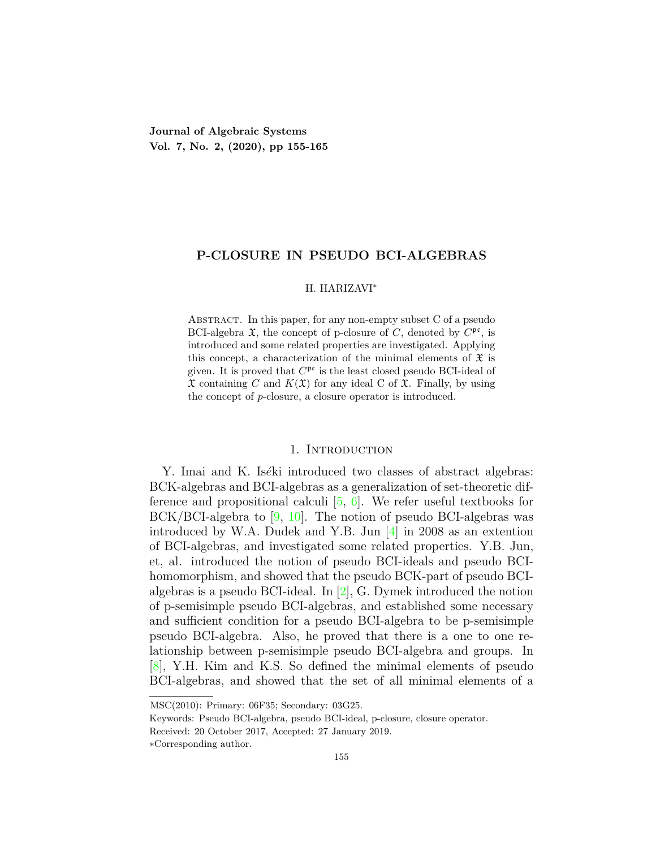**Journal of Algebraic Systems Vol. 7, No. 2, (2020), pp 155-165**

## **P-CLOSURE IN PSEUDO BCI-ALGEBRAS**

#### H. HARIZAVI*∗*

ABSTRACT. In this paper, for any non-empty subset C of a pseudo BCI-algebra  $\mathfrak{X}$ , the concept of p-closure of *C*, denoted by  $C^{\mathfrak{pc}}$ , is introduced and some related properties are investigated. Applying this concept, a characterization of the minimal elements of  $\mathfrak X$  is given. It is proved that  $C^{\mathfrak{pc}}$  is the least closed pseudo BCI-ideal of  $\mathfrak X$  containing *C* and  $K(\mathfrak X)$  for any ideal C of  $\mathfrak X$ . Finally, by using the concept of *p*-closure, a closure operator is introduced.

## 1. Introduction

Y. Imai and K. Iséki introduced two classes of abstract algebras: BCK-algebras and BCI-algebras as a generalization of set-theoretic difference and propositional calculi [\[5](#page-10-0), [6\]](#page-10-1). We refer useful textbooks for BCK/BCI-algebra to [[9](#page-10-2), [10\]](#page-10-3). The notion of pseudo BCI-algebras was introduced by W.A. Dudek and Y.B. Jun [\[4](#page-10-4)] in 2008 as an extention of BCI-algebras, and investigated some related properties. Y.B. Jun, et, al. introduced the notion of pseudo BCI-ideals and pseudo BCIhomomorphism, and showed that the pseudo BCK-part of pseudo BCIalgebras is a pseudo BCI-ideal. In [\[2](#page-10-5)], G. Dymek introduced the notion of p-semisimple pseudo BCI-algebras, and established some necessary and sufficient condition for a pseudo BCI-algebra to be p-semisimple pseudo BCI-algebra. Also, he proved that there is a one to one relationship between p-semisimple pseudo BCI-algebra and groups. In [[8\]](#page-10-6), Y.H. Kim and K.S. So defined the minimal elements of pseudo BCI-algebras, and showed that the set of all minimal elements of a

MSC(2010): Primary: 06F35; Secondary: 03G25.

Keywords: Pseudo BCI-algebra, pseudo BCI-ideal, p-closure, closure operator.

Received: 20 October 2017, Accepted: 27 January 2019.

*<sup>∗</sup>*Corresponding author.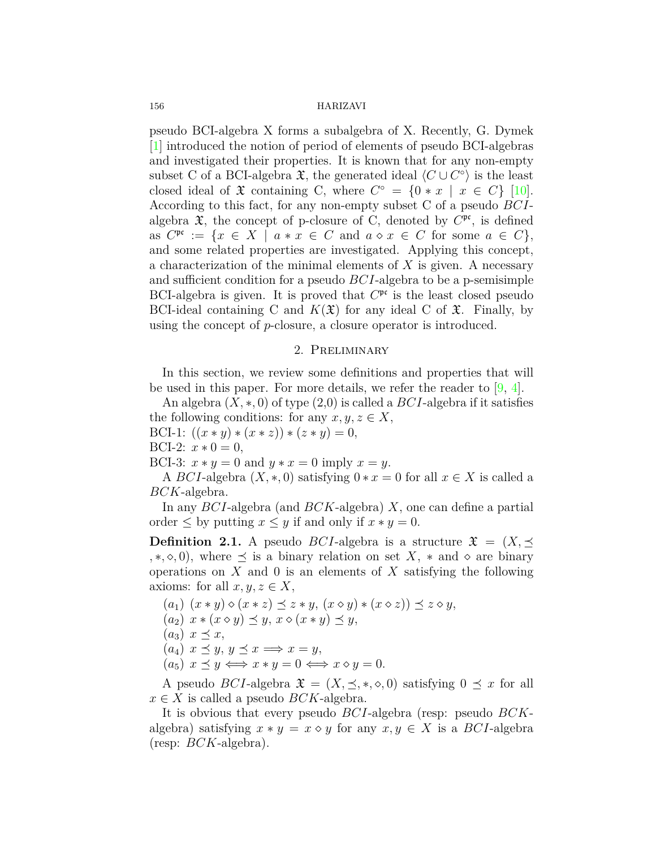pseudo BCI-algebra X forms a subalgebra of X. Recently, G. Dymek [[1\]](#page-10-7) introduced the notion of period of elements of pseudo BCI-algebras and investigated their properties. It is known that for any non-empty subset C of a BCI-algebra  $\mathfrak{X}$ , the generated ideal  $\langle C \cup C^{\circ} \rangle$  is the least closed ideal of  $\mathfrak{X}$  containing C, where  $C^{\circ} = \{0 \times x \mid x \in C\}$  [[10\]](#page-10-3). According to this fact, for any non-empty subset C of a pseudo *BCI*algebra  $\mathfrak{X}$ , the concept of p-closure of C, denoted by  $C^{\mathfrak{pc}}$ , is defined as  $C^{\mathfrak{pc}} := \{x \in X \mid a * x \in C \text{ and } a \diamond x \in C \text{ for some } a \in C\},\$ and some related properties are investigated. Applying this concept, a characterization of the minimal elements of *X* is given. A necessary and sufficient condition for a pseudo *BCI*-algebra to be a p-semisimple BCI-algebra is given. It is proved that  $C^{\mathfrak{pc}}$  is the least closed pseudo BCI-ideal containing C and  $K(\mathfrak{X})$  for any ideal C of  $\mathfrak{X}$ . Finally, by using the concept of *p*-closure, a closure operator is introduced.

## 2. Preliminary

In this section, we review some definitions and properties that will be used in this paper. For more details, we refer the reader to [\[9](#page-10-2), [4](#page-10-4)].

An algebra (*X, ∗,* 0) of type (2,0) is called a *BCI*-algebra if it satisfies the following conditions: for any  $x, y, z \in X$ ,

BCI-1:  $((x * y) * (x * z)) * (z * y) = 0$ ,

BCI-2:  $x * 0 = 0$ ,

BCI-3:  $x * y = 0$  and  $y * x = 0$  imply  $x = y$ .

A *BCI*-algebra  $(X, *, 0)$  satisfying  $0 * x = 0$  for all  $x \in X$  is called a *BCK*-algebra.

In any *BCI*-algebra (and *BCK*-algebra) *X*, one can define a partial order  $\leq$  by putting  $x \leq y$  if and only if  $x * y = 0$ .

**Definition 2.1.** A pseudo *BCI*-algebra is a structure  $\mathfrak{X} = (X, \preceq)$ *,*  $\ast$ ,  $\diamond$ , 0), where  $\preceq$  is a binary relation on set *X*,  $\ast$  and  $\diamond$  are binary operations on *X* and 0 is an elements of *X* satisfying the following axioms: for all  $x, y, z \in X$ ,

- $(a_1)$   $(x * y) \diamond (x * z) \preceq z * y$ ,  $(x \diamond y) * (x \diamond z) \preceq z \diamond y$ ,
- $(a_2)$   $x * (x \diamond y) \preceq y$ ,  $x \diamond (x * y) \preceq y$ ,
- $(a_3)$   $x \preceq x$ ,
- $(a_4)$   $x \preceq y, y \preceq x \Longrightarrow x = y$ ,
- $(a_5)$   $x \preceq y \Longleftrightarrow x \ast y = 0 \Longleftrightarrow x \diamond y = 0.$

A pseudo *BCI*-algebra  $\mathfrak{X} = (X, \preceq, *, \diamond, 0)$  satisfying  $0 \preceq x$  for all  $x \in X$  is called a pseudo *BCK*-algebra.

It is obvious that every pseudo *BCI*-algebra (resp: pseudo *BCK*algebra) satisfying  $x * y = x \diamond y$  for any  $x, y \in X$  is a *BCI*-algebra (resp: *BCK*-algebra).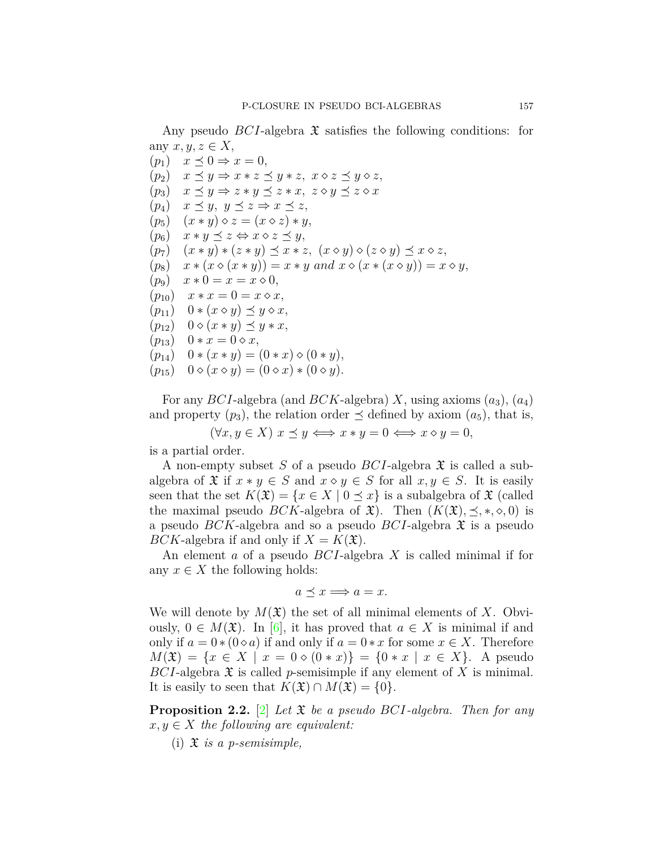Any pseudo *BCI*-algebra  $\mathfrak X$  satisfies the following conditions: for any  $x, y, z \in X$ ,

 $(p_1)$   $x \preceq 0 \Rightarrow x = 0$ ,  $(p_2)$   $x \preceq y \Rightarrow x * z \preceq y * z, x \diamond z \preceq y \diamond z,$  $(p_3)$   $x \preceq y \Rightarrow z * y \preceq z * x, z \diamond y \preceq z \diamond x$  $(p_4)$   $x \leq y, y \leq z \Rightarrow x \leq z$ ,  $(p_5)$   $(x * y) \diamond z = (x \diamond z) * y$  $(p_6)$   $x * y \preceq z \Leftrightarrow x \diamond z \preceq y$ ,  $(p_7)$   $(x * y) * (z * y) \preceq x * z$ ,  $(x \diamond y) \diamond (z \diamond y) \preceq x \diamond z$ ,  $(p_8)$   $x * (x \diamond (x * y)) = x * y \text{ and } x \diamond (x * (x \diamond y)) = x \diamond y,$  $(p_9)$   $x * 0 = x = x \diamond 0,$  $(p_{10})$   $x * x = 0 = x \diamond x,$  $(p_{11})$   $0 * (x \diamond y) \preceq y \diamond x$ ,  $(p_{12})$   $0 \diamond (x * y) \preceq y * x$ ,  $(p_{13})$  0 *∗*  $x = 0 \diamond x$ ,  $(p_{14})$  0  $*(x * y) = (0 * x) \diamond (0 * y),$  $(p_{15})$  0  $\diamond$   $(x \diamond y) = (0 \diamond x) * (0 \diamond y).$ 

For any *BCI*-algebra (and *BCK*-algebra) *X*, using axioms (*a*3), (*a*4) and property  $(p_3)$ , the relation order  $\prec$  defined by axiom  $(a_5)$ , that is,

 $(\forall x, y \in X) \ x \preceq y \Longleftrightarrow x * y = 0 \Longleftrightarrow x \diamond y = 0,$ 

is a partial order.

A non-empty subset *S* of a pseudo *BCI*-algebra X is called a subalgebra of  $\mathfrak{X}$  if  $x * y \in S$  and  $x \diamond y \in S$  for all  $x, y \in S$ . It is easily seen that the set  $K(\mathfrak{X}) = \{x \in X \mid 0 \leq x\}$  is a subalgebra of  $\mathfrak{X}$  (called the maximal pseudo *BCK*-algebra of  $\mathfrak{X}$ ). Then  $(K(\mathfrak{X}), \preceq, *, \diamond, 0)$  is a pseudo *BCK*-algebra and so a pseudo *BCI*-algebra X is a pseudo *BCK*-algebra if and only if  $X = K(\mathfrak{X})$ .

An element *a* of a pseudo *BCI*-algebra *X* is called minimal if for any  $x \in X$  the following holds:

$$
a\preceq x\Longrightarrow a=x.
$$

We will denote by  $M(\mathfrak{X})$  the set of all minimal elements of X. Obviously,  $0 \in M(\mathfrak{X})$ . In [\[6\]](#page-10-1), it has proved that *a* ∈ *X* is minimal if and only if  $a = 0*(0\diamond a)$  if and only if  $a = 0*x$  for some  $x \in X$ . Therefore  $M(\mathfrak{X}) = \{x \in X \mid x = 0 \diamond (0 * x)\} = \{0 * x \mid x \in X\}.$  A pseudo *BCI*-algebra  $\mathfrak X$  is called *p*-semisimple if any element of X is minimal. It is easily to seen that  $K(\mathfrak{X}) \cap M(\mathfrak{X}) = \{0\}.$ 

<span id="page-2-0"></span>**Proposition 2.2.** [\[2](#page-10-5)] *Let* X *be a pseudo BCI-algebra. Then for any*  $x, y \in X$  *the following are equivalent:* 

(i) X *is a p-semisimple,*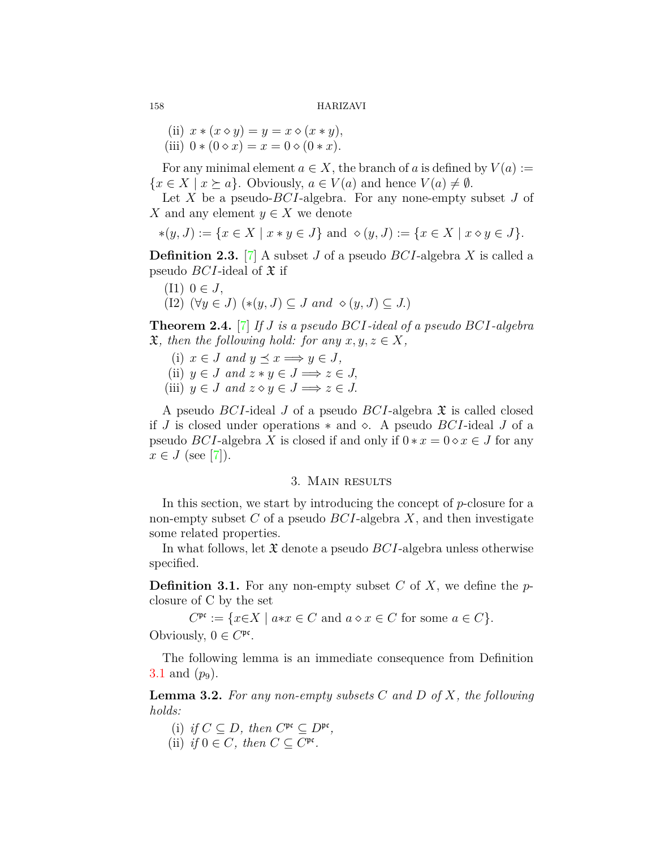(ii)  $x * (x \diamond y) = y = x \diamond (x * y)$ , (iii)  $0 * (0 \diamond x) = x = 0 \diamond (0 * x)$ .

For any minimal element  $a \in X$ , the branch of *a* is defined by  $V(a) :=$  ${x \in X \mid x \succeq a}$ . Obviously,  $a \in V(a)$  and hence  $V(a) \neq \emptyset$ .

Let *X* be a pseudo-*BCI*-algebra. For any none-empty subset *J* of *X* and any element  $y \in X$  we denote

$$
*(y, J) := \{ x \in X \mid x * y \in J \} \text{ and } \diamond (y, J) := \{ x \in X \mid x \diamond y \in J \}.
$$

**Definition 2.3.** [[7\]](#page-10-8) A subset *J* of a pseudo *BCI*-algebra *X* is called a pseudo *BCI*-ideal of  $\mathfrak X$  if

 $(II)$  0 ∈ *J*,

$$
(I2) \ (\forall y \in J) \ (*(y, J) \subseteq J \ and \ \diamond(y, J) \subseteq J.)
$$

**Theorem 2.4.** [\[7](#page-10-8)] *If J is a pseudo BCI-ideal of a pseudo BCI-algebra*  $\mathfrak{X},$  then the following hold: for any  $x, y, z \in X$ ,

- (i)  $x \in J$  and  $y \preceq x \Longrightarrow y \in J$ ,
- (ii)  $y \in J$  and  $z * y \in J \implies z \in J$ ,
- (iii)  $y \in J$  and  $z \diamond y \in J \implies z \in J$ .

A pseudo *BCI*-ideal *J* of a pseudo *BCI*-algebra X is called closed if *J* is closed under operations *∗* and *⋄*. A pseudo *BCI*-ideal *J* of a pseudo *BCI*-algebra *X* is closed if and only if  $0 * x = 0 \circ x \in J$  for any  $x \in J$  $x \in J$  $x \in J$  (see [[7\]](#page-10-8)).

#### 3. Main results

In this section, we start by introducing the concept of *p*-closure for a non-empty subset *C* of a pseudo *BCI*-algebra *X*, and then investigate some related properties.

In what follows, let X denote a pseudo *BCI*-algebra unless otherwise specified.

<span id="page-3-0"></span>**Definition 3.1.** For any non-empty subset *C* of *X*, we define the *p*closure of C by the set

 $C^{\mathfrak{pc}} := \{ x \in X \mid a \ast x \in C \text{ and } a \diamond x \in C \text{ for some } a \in C \}.$ Obviously,  $0 \in C^{\mathfrak{pc}}$ .

The following lemma is an immediate consequence from Definition [3.1](#page-3-0) and  $(p_9)$ .

<span id="page-3-1"></span>**Lemma 3.2.** *For any non-empty subsets C and D of X, the following holds:*

- (i) *if*  $C \subseteq D$ *, then*  $C^{\mathfrak{pc}} \subseteq D^{\mathfrak{pc}}$ *,*
- (ii) *if*  $0 \in C$ *, then*  $C \subseteq C^{\text{pc}}$ *.*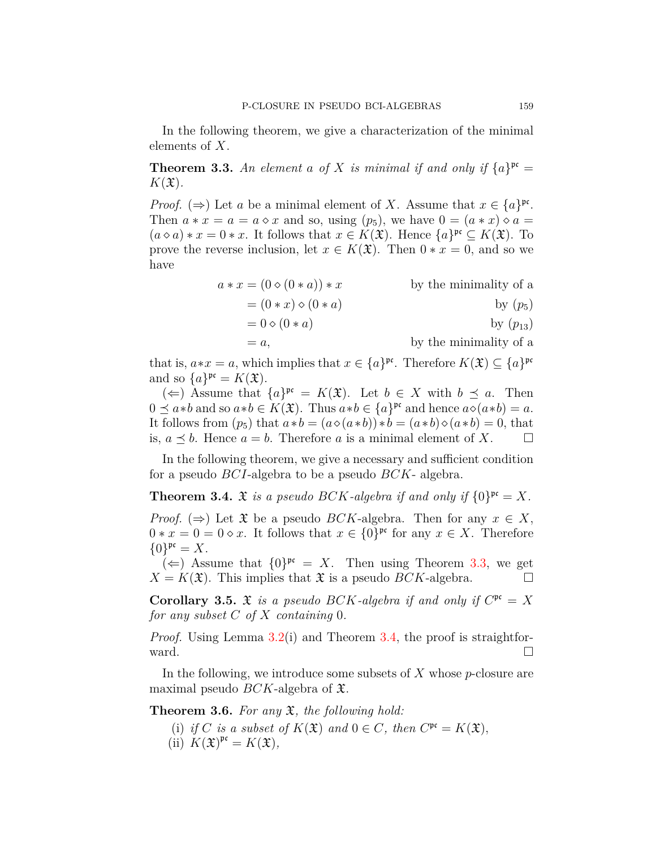In the following theorem, we give a characterization of the minimal elements of *X*.

<span id="page-4-0"></span>**Theorem 3.3.** An element a of X is minimal if and only if  $\{a\}^{pc} =$  $K(\mathfrak{X})$ .

*Proof.* ( $\Rightarrow$ ) Let *a* be a minimal element of *X*. Assume that  $x \in \{a\}^{pr}$ . Then  $a * x = a = a \diamond x$  and so, using  $(p_5)$ , we have  $0 = (a * x) \diamond a =$  $(a \diamond a) * x = 0 * x$ . It follows that  $x \in K(\mathfrak{X})$ . Hence  $\{a\}^{\mathfrak{pc}} \subseteq K(\mathfrak{X})$ . To prove the reverse inclusion, let  $x \in K(\mathfrak{X})$ . Then  $0 * x = 0$ , and so we have

$$
a * x = (0 \diamond (0 * a)) * x
$$
 by the minimality of a  
=  $(0 * x) \diamond (0 * a)$  by  $(p_5)$ 

$$
= 0 \diamond (0 * a) \qquad \qquad \text{by } (p_{13})
$$

 $= a$ , by the minimality of a

that is,  $a * x = a$ , which implies that  $x \in \{a\}^{pr}$ . Therefore  $K(\mathfrak{X}) \subseteq \{a\}^{pr}$ and so  ${a}^{\text{pre}} = K(\mathfrak{X})$ .

 $(\Leftarrow)$  Assume that  $\{a\}^{pr} = K(\mathfrak{X})$ . Let  $b \in X$  with  $b \preceq a$ . Then  $0 \leq a * b$  and so  $a * b \in K(\mathfrak{X})$ . Thus  $a * b \in \{a\}^{\mathfrak{pr}}$  and hence  $a \diamond (a * b) = a$ . It follows from  $(p_5)$  that  $a * b = (a \diamond (a * b)) * b = (a * b) \diamond (a * b) = 0$ , that is,  $a \preceq b$ . Hence  $a = b$ . Therefore a is a minimal element of X. □

In the following theorem, we give a necessary and sufficient condition for a pseudo *BCI*-algebra to be a pseudo *BCK*- algebra.

<span id="page-4-1"></span>**Theorem 3.4.**  $\mathfrak{X}$  *is a pseudo BCK*-algebra *if and only if*  $\{0\}^{\mathfrak{pc}} = X$ *.* 

*Proof.* ( $\Rightarrow$ ) Let  $\mathfrak X$  be a pseudo *BCK*-algebra. Then for any  $x \in X$ ,  $0 * x = 0 = 0 \diamond x$ . It follows that  $x \in \{0\}^{pr}$  for any  $x \in X$ . Therefore  ${0}^{\text{pc}} = X$ .

 $(\Leftarrow)$  Assume that  $\{0\}^{\text{pc}} = X$ . Then using Theorem [3.3,](#page-4-0) we get  $X = K(\mathfrak{X})$ . This implies that  $\mathfrak{X}$  is a pseudo *BCK*-algebra. □

**Corollary 3.5.**  $\mathfrak{X}$  *is a pseudo BCK-algebra if and only if*  $C^{\mathfrak{pc}} = X$ *for any subset C of X containing* 0*.*

*Proof.* Using Lemma [3.2\(](#page-3-1)i) and Theorem [3.4,](#page-4-1) the proof is straightforward.  $\Box$ 

In the following, we introduce some subsets of *X* whose *p*-closure are maximal pseudo *BCK*-algebra of X.

<span id="page-4-2"></span>**Theorem 3.6.** *For any* X*, the following hold:*

- (i) *if C is a subset of*  $K(\mathfrak{X})$  *and*  $0 \in C$ *, then*  $C^{\mathfrak{pc}} = K(\mathfrak{X})$ *,*
- $(iii)$   $K(\mathfrak{X})^{\mathfrak{pc}} = K(\mathfrak{X}),$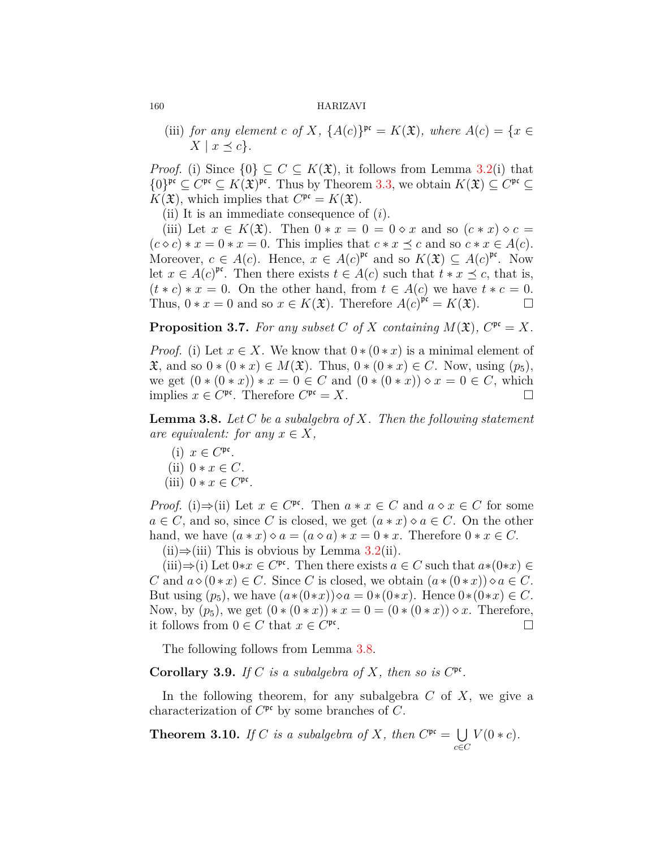(iii) *for any element c of X*,  $\{A(c)\}^{\text{pc}} = K(\mathfrak{X})$ *, where*  $A(c) = \{x \in$  $X \mid x \leq c$ .

*Proof.* (i) Since  $\{0\} \subseteq C \subseteq K(\mathfrak{X})$ , it follows from Lemma [3.2\(](#page-3-1)i) that *{*0*}*<sup>pc</sup> ⊆ *C*<sup>pc</sup> ⊆ *K*( $\mathfrak{X}$ )<sup>pc</sup>. Thus by Theorem [3.3,](#page-4-0) we obtain *K*( $\mathfrak{X}$ ) ⊆ *C*<sup>pc</sup> ⊆  $K(\mathfrak{X})$ , which implies that  $C^{\mathfrak{pc}} = K(\mathfrak{X})$ .

(ii) It is an immediate consequence of (*i*).

(iii) Let  $x \in K(\mathfrak{X})$ . Then  $0 * x = 0 = 0 \diamond x$  and so  $(c * x) \diamond c =$  $(c \diamond c) * x = 0 * x = 0$ . This implies that  $c * x \preceq c$  and so  $c * x \in A(c)$ . Moreover,  $c \in A(c)$ . Hence,  $x \in A(c)^{pr}$  and so  $K(\mathfrak{X}) \subseteq A(c)^{pr}$ . Now let  $x \in A(c)^{pr}$ . Then there exists  $t \in A(c)$  such that  $t * x \preceq c$ , that is,  $(t * c) * x = 0$ . On the other hand, from  $t \in A(c)$  we have  $t * c = 0$ . Thus,  $0 * x = 0$  and so  $x \in K(\mathfrak{X})$ . Therefore  $A(c)^{\mathfrak{p}(\mathfrak{e})} = K(\mathfrak{X})$ .

**Proposition 3.7.** For any subset C of X containing  $M(\mathfrak{X})$ ,  $C^{\mathfrak{pc}} = X$ .

*Proof.* (i) Let  $x \in X$ . We know that  $0 \times (0 \times x)$  is a minimal element of X, and so 0 *∗* (0 *∗ x*)  $\in M(X)$ . Thus, 0 *∗* (0 *∗ x*)  $\in C$ . Now, using (*p*<sub>5</sub>), we get  $(0 * (0 * x)) * x = 0 \in C$  and  $(0 * (0 * x)) * x = 0 \in C$ , which implies  $x \in C^{\mathfrak{pc}}$ . Therefore  $C^{\mathfrak{pc}} = X$ . □

<span id="page-5-0"></span>**Lemma 3.8.** *Let C be a subalgebra of X. Then the following statement are equivalent: for any*  $x \in X$ *,* 

- (i)  $x \in C^{\mathfrak{pc}}$ .
- $(iii)$   $0 * x \in C$ *.*
- (iii)  $0 * x \in C^{\text{pc}}$ .

*Proof.* (i) $\Rightarrow$ (ii) Let  $x \in C^{pc}$ . Then  $a * x \in C$  and  $a \diamond x \in C$  for some  $a \in C$ , and so, since *C* is closed, we get  $(a * x) \diamond a \in C$ . On the other hand, we have  $(a * x) \diamond a = (a \diamond a) * x = 0 * x$ . Therefore  $0 * x \in C$ .

(ii)*⇒*(iii) This is obvious by Lemma [3.2\(](#page-3-1)ii).

 $(iii) \Rightarrow (i)$  Let  $0*x \in C^{pc}$ . Then there exists  $a \in C$  such that  $a*(0*x) \in C$ *C* and  $a \diamond (0 * x) \in C$ . Since *C* is closed, we obtain  $(a * (0 * x)) \diamond a \in C$ . But using  $(p_5)$ , we have  $(a*(0*x)) \diamond a = 0*(0*x)$ . Hence  $0*(0*x) \in C$ . Now, by  $(p_5)$ , we get  $(0*(0*x))*x=0=(0*(0*x))\diamond x$ . Therefore, it follows from  $0 \in C$  that  $x \in C^{\text{pc}}$ . □

The following follows from Lemma [3.8.](#page-5-0)

**Corollary 3.9.** *If*  $C$  *is a subalgebra of*  $X$ *, then so is*  $C^{pc}$ *.* 

In the following theorem, for any subalgebra *C* of *X*, we give a characterization of  $C^{\mathfrak{pr}}$  by some branches of C.

**Theorem 3.10.** *If C is a subalgebra of X, then*  $C^{pc} = \bigcup$ *c∈C*  $V(0 * c)$ .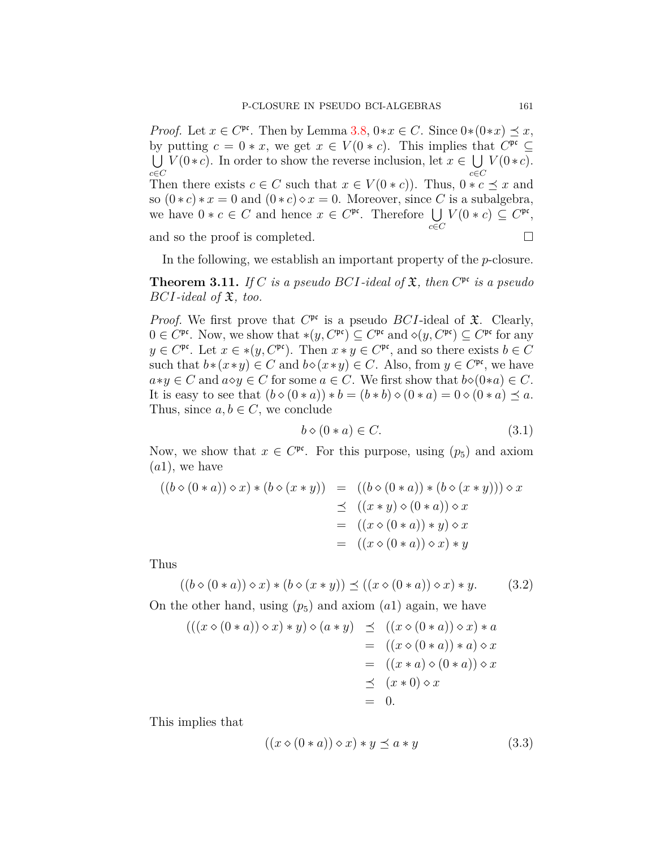*Proof.* Let  $x \in C^{pc}$ . Then by Lemma [3.8](#page-5-0),  $0 \times x \in C$ . Since  $0 \times (0 \times x) \preceq x$ , by putting  $c = 0 * x$ , we get  $x \in V(0 * c)$ . This implies that  $C^{\mathfrak{pc}} \subseteq$  $\bigcup V(0*c)$ . In order to show the reverse inclusion, let  $x \in \bigcup V(0*c)$ . *c∈C c∈C* Then there exists  $c \in C$  such that  $x \in V(0 * c)$ ). Thus,  $0 * c \preceq x$  and so  $(0 * c) * x = 0$  and  $(0 * c) \diamond x = 0$ . Moreover, since *C* is a subalgebra, we have  $0 * c \in C$  and hence  $x \in C^{\mathfrak{pc}}$ . Therefore  $\bigcup V(0 * c) \subseteq C^{\mathfrak{pc}}$ , *c∈C* and so the proof is completed.  $\Box$ 

In the following, we establish an important property of the *p*-closure.

<span id="page-6-2"></span>**Theorem 3.11.** *If*  $C$  *is a pseudo BCI*-ideal of  $\mathfrak{X}$ *, then*  $C^{\mathfrak{pc}}$  *is a pseudo BCI-ideal of* X*, too.*

*Proof.* We first prove that  $C^{\mathfrak{pc}}$  is a pseudo *BCI*-ideal of  $\mathfrak{X}$ . Clearly,  $0 \in C^{\mathfrak{pc}}$ . Now, we show that  $*(y, C^{\mathfrak{pc}}) \subseteq C^{\mathfrak{pc}}$  and  $\diamond(y, C^{\mathfrak{pc}}) \subseteq C^{\mathfrak{pc}}$  for any  $y \in C^{\mathfrak{pc}}$ . Let  $x \in *(y, C^{\mathfrak{pc}})$ . Then  $x * y \in C^{\mathfrak{pc}}$ , and so there exists  $b \in C$ such that  $b*(x*y) \in C$  and  $b\diamond(x*y) \in C$ . Also, from  $y \in C<sup>pc</sup>$ , we have  $a * y \in C$  and  $a \diamond y \in C$  for some  $a \in C$ . We first show that  $b \diamond (0 * a) \in C$ . It is easy to see that  $(b \diamond (0 * a)) * b = (b * b) \diamond (0 * a) = 0 \diamond (0 * a) \preceq a$ . Thus, since  $a, b \in C$ , we conclude

<span id="page-6-1"></span>
$$
b \diamond (0 * a) \in C. \tag{3.1}
$$

Now, we show that  $x \in C^{\mathfrak{pc}}$ . For this purpose, using  $(p_5)$  and axiom (*a*1), we have

$$
((b \diamond (0 * a)) \diamond x) * (b \diamond (x * y)) = ((b \diamond (0 * a)) * (b \diamond (x * y))) \diamond x
$$
  
\n
$$
\preceq ((x * y) \diamond (0 * a)) \diamond x
$$
  
\n
$$
= ((x \diamond (0 * a)) * y) \diamond x
$$
  
\n
$$
= ((x \diamond (0 * a)) \diamond x) * y
$$

Thus

 $((b \diamond (0 * a)) \diamond x) * (b \diamond (x * y)) \preceq ((x \diamond (0 * a)) \diamond x) * y.$  (3.2)

On the other hand, using  $(p_5)$  and axiom  $(a_1)$  again, we have

$$
(((x \diamond (0 * a)) \diamond x) * y) \diamond (a * y) \preceq ((x \diamond (0 * a)) \diamond x) * a
$$
  

$$
= ((x \diamond (0 * a)) * a) \diamond x
$$
  

$$
= ((x * a) \diamond (0 * a)) \diamond x
$$
  

$$
\preceq (x * 0) \diamond x
$$
  

$$
= 0.
$$

This implies that

<span id="page-6-0"></span>
$$
((x \diamond (0 * a)) \diamond x) * y \preceq a * y \tag{3.3}
$$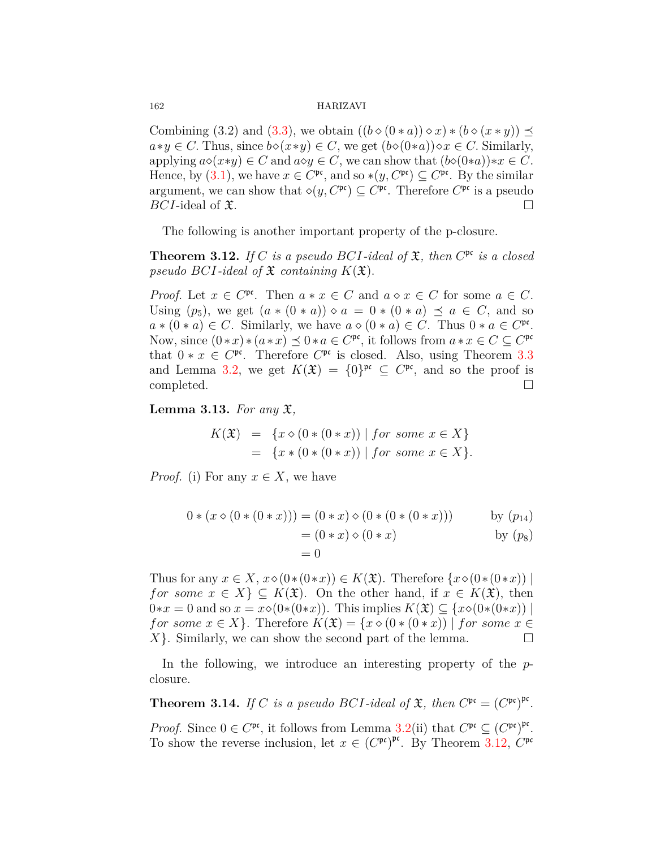Combining (3.2) and ([3.3\)](#page-6-0), we obtain  $((b \diamond (0 * a)) \diamond x) * (b \diamond (x * y)) \preceq$ *a*<sup>∗</sup>*y*  $∈$  *C*. Thus, since *b*<sup>*◇*</sup>( $x$ <sup>*∗y*</sup>)  $∈$  *C*, we get (*b*<sup>*⊗*(0*∗a*)) $\diamond x ∈ C$ . Similarly,</sup> applying  $a \diamond (x * y) \in C$  and  $a \diamond y \in C$ , we can show that  $(b \diamond (0 * a)) * x \in C$ . Hence, by [\(3.1](#page-6-1)), we have  $x \in C^{\text{pc}}$ , and so  $*(y, C^{\text{pc}}) \subseteq C^{\text{pc}}$ . By the similar argument, we can show that  $\diamond(y, C^{\mathfrak{pc}}) \subseteq C^{\mathfrak{pc}}$ . Therefore  $C^{\mathfrak{pc}}$  is a pseudo *BCI*-ideal of  $\mathfrak{X}$ .  $\Box$ 

The following is another important property of the p-closure.

<span id="page-7-0"></span>**Theorem 3.12.** *If*  $C$  *is a pseudo*  $BCI$ -ideal of  $\mathfrak{X}$ *, then*  $C^{\mathfrak{pc}}$  *is a closed pseudo BCI-ideal of*  $\mathfrak X$  *containing*  $K(\mathfrak X)$ *.* 

*Proof.* Let  $x \in C^{\mathfrak{pc}}$ . Then  $a * x \in C$  and  $a \diamond x \in C$  for some  $a \in C$ . Using  $(p_5)$ , we get  $(a * (0 * a)) \diamond a = 0 * (0 * a) \preceq a \in C$ , and so  $a * (0 * a) \in C$ . Similarly, we have  $a \diamond (0 * a) \in C$ . Thus  $0 * a \in C^{pc}$ . Now, since  $(0 * x) * (a * x) \preceq 0 * a \in C^{\mathfrak{pc}}$ , it follows from  $a * x \in C \subseteq C^{\mathfrak{pc}}$ that  $0 * x \in C^{\text{pc}}$ . Therefore  $C^{\text{pc}}$  is closed. Also, using Theorem [3.3](#page-4-0) and Lemma [3.2](#page-3-1), we get  $K(\mathfrak{X}) = \{0\}^{\mathfrak{p} \mathfrak{c}} \subseteq C^{\mathfrak{p} \mathfrak{c}}$ , and so the proof is completed. □

<span id="page-7-1"></span>**Lemma 3.13.** *For any* X*,*

$$
K(\mathfrak{X}) = \{x \diamond (0 * (0 * x)) \mid \text{for some } x \in X\}
$$
  
=  $\{x * (0 * (0 * x)) \mid \text{for some } x \in X\}.$ 

*Proof.* (i) For any  $x \in X$ , we have

$$
0 * (x \diamond (0 * (0 * x))) = (0 * x) \diamond (0 * (0 * (0 * x))) \qquad \text{by } (p_{14})
$$

$$
= (0 * x) \diamond (0 * x) \qquad \text{by } (p_{8})
$$

$$
= 0
$$

Thus for any  $x \in X$ ,  $x \diamond (0*(0*x)) \in K(\mathfrak{X})$ . Therefore  $\{x \diamond (0*(0*x)) \mid$ *for some*  $x \in X$   $\subseteq$   $K(\mathfrak{X})$ . On the other hand, if  $x \in K(\mathfrak{X})$ , then  $0*x = 0$  and so  $x = x \diamond (0*(0*x))$ . This implies  $K(\mathfrak{X}) \subseteq \{x \diamond (0*(0*x)) \mid$ *for some*  $x \in X$ . Therefore  $K(\mathfrak{X}) = \{x \diamond (0 * (0 * x)) \mid \text{for some } x \in X\}$  $X$ <sup>}</sup>. Similarly, we can show the second part of the lemma. □

In the following, we introduce an interesting property of the *p*closure.

<span id="page-7-2"></span>**Theorem 3.14.** *If C is a pseudo BCI*-ideal of  $\mathfrak{X}$ *, then*  $C^{\mathfrak{pc}} = (C^{\mathfrak{pc}})^{\mathfrak{pc}}$ *. Proof.* Since  $0 \in C^{\mathfrak{pc}}$ , it follows from Lemma [3.2](#page-3-1)(ii) that  $C^{\mathfrak{pc}} \subseteq (C^{\mathfrak{pc}})^{\mathfrak{pc}}$ . To show the reverse inclusion, let  $x \in (C^{\mathfrak{pc}})^{\mathfrak{pc}}$ . By Theorem [3.12,](#page-7-0)  $C^{\mathfrak{pc}}$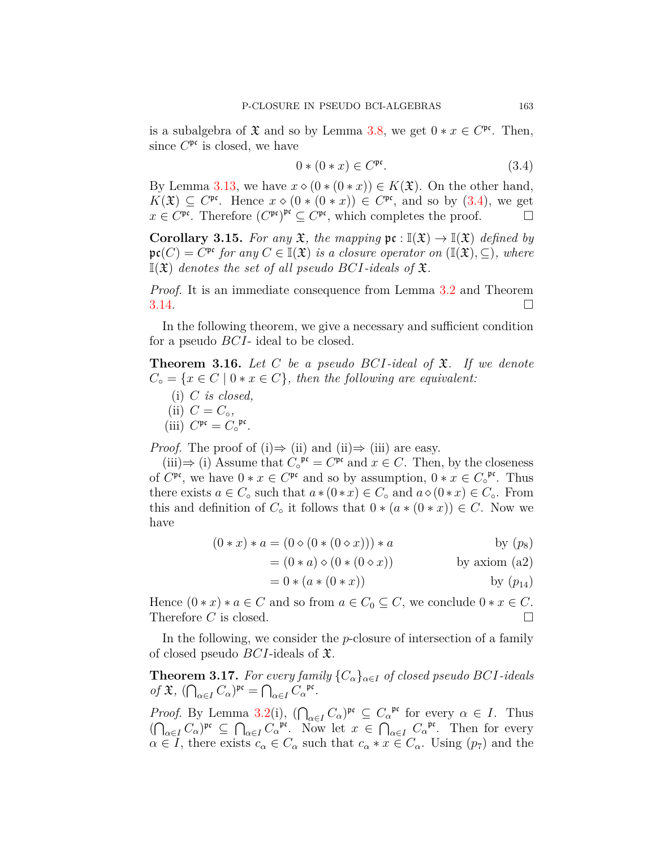is a subalgebra of  $\mathfrak X$  and so by Lemma [3.8,](#page-5-0) we get  $0 * x \in C^{\mathfrak{pc}}$ . Then, since  $C^{\mathfrak{pc}}$  is closed, we have

<span id="page-8-0"></span>
$$
0*(0*x) \in C^{\text{pc}}.\tag{3.4}
$$

By Lemma [3.13](#page-7-1), we have  $x \diamond (0 * (0 * x)) \in K(\mathfrak{X})$ . On the other hand,  $K(\mathfrak{X}) \subseteq C^{\mathfrak{pc}}$ . Hence  $x \diamond (0 * (0 * x)) \in C^{\mathfrak{pc}}$ , and so by [\(3.4](#page-8-0)), we get  $x \in C^{\text{pc}}$ . Therefore  $(C^{\text{pc}})^{\text{pc}} \subseteq C^{\text{pc}}$ , which completes the proof. □

**Corollary 3.15.** *For any*  $\mathfrak{X}$ *, the mapping*  $\mathfrak{pc} : \mathbb{I}(\mathfrak{X}) \to \mathbb{I}(\mathfrak{X})$  *defined by*  $\mathfrak{pr}(C) = C^{\mathfrak{pr}}$  *for any*  $C \in \mathbb{I}(\mathfrak{X})$  *is a closure operator on*  $(\mathbb{I}(\mathfrak{X}), \subseteq)$ *, where*  $\mathbb{I}(\mathfrak{X})$  *denotes the set of all pseudo BCI-ideals of*  $\mathfrak{X}$ *.* 

*Proof.* It is an immediate consequence from Lemma [3.2](#page-3-1) and Theorem  $3.14.$  $3.14.$ 

In the following theorem, we give a necessary and sufficient condition for a pseudo *BCI*- ideal to be closed.

**Theorem 3.16.** *Let C be a pseudo BCI-ideal of* X*. If we denote*  $C_{\circ} = \{x \in C \mid 0 * x \in C\},\$  then the following are equivalent:

- (i) *C is closed,*
- $(iii)$   $C = C_{\circ},$
- (iii)  $C^{\mathfrak{pc}} = C_{\circ}^{\mathfrak{pc}}$ .

*Proof.* The proof of (i) $\Rightarrow$  (ii) and (ii) $\Rightarrow$  (iii) are easy.

(iii)⇒ (i) Assume that  $C_\circ^{~\mathfrak{p} \mathfrak{c}} = C^{\mathfrak{p} \mathfrak{c}}$  and  $x \in C$ . Then, by the closeness of  $C^{\mathfrak{pr}}$ , we have  $0 * x \in C^{\mathfrak{pr}}$  and so by assumption,  $0 * x \in C^{\mathfrak{pr}}$ . Thus there exists  $a \in C_0$  such that  $a * (0 * x) \in C_0$  and  $a \diamond (0 * x) \in C_0$ . From this and definition of  $C_{\circ}$  it follows that  $0 * (a * (0 * x)) \in C$ . Now we have

$$
(0 * x) * a = (0 \diamond (0 * (0 \diamond x))) * a
$$
 by  $(p_8)$ 

$$
= (0 * a) \diamond (0 * (0 \diamond x))
$$
 by axiom (a2)

$$
= 0 * (a * (0 * x))
$$
 by  $(p_{14})$ 

Hence  $(0 * x) * a \in C$  and so from  $a \in C_0 \subseteq C$ , we conclude  $0 * x \in C$ . Therefore  $C$  is closed.  $\square$ 

In the following, we consider the *p*-closure of intersection of a family of closed pseudo *BCI*-ideals of X.

**Theorem 3.17.** For every family  ${C_{\alpha}}_{\alpha \in I}$  of closed pseudo BCI-ideals  $of$   $\mathfrak{X}, \left( \bigcap_{\alpha \in I} C_{\alpha} \right)$ <sup>pc</sup> =  $\bigcap_{\alpha \in I} C_{\alpha}$ <sup>pc</sup>.

*Proof.* By Lemma [3.2](#page-3-1)(i),  $(\bigcap_{\alpha \in I} C_{\alpha})^{\mathfrak{pc}} \subseteq C_{\alpha}^{\mathfrak{pc}}$  for every  $\alpha \in I$ . Thus  $(\bigcap_{\alpha \in I} C_{\alpha})^{\mathfrak{pc}} \subseteq \bigcap_{\alpha \in I} C_{\alpha}^{\mathfrak{pc}}$ . Now let  $x \in \bigcap_{\alpha \in I} C_{\alpha}^{\mathfrak{pc}}$ . Then for every  $\alpha \in I$ , there exists  $c_{\alpha} \in C_{\alpha}$  such that  $c_{\alpha} * x \in C_{\alpha}$ . Using  $(p_7)$  and the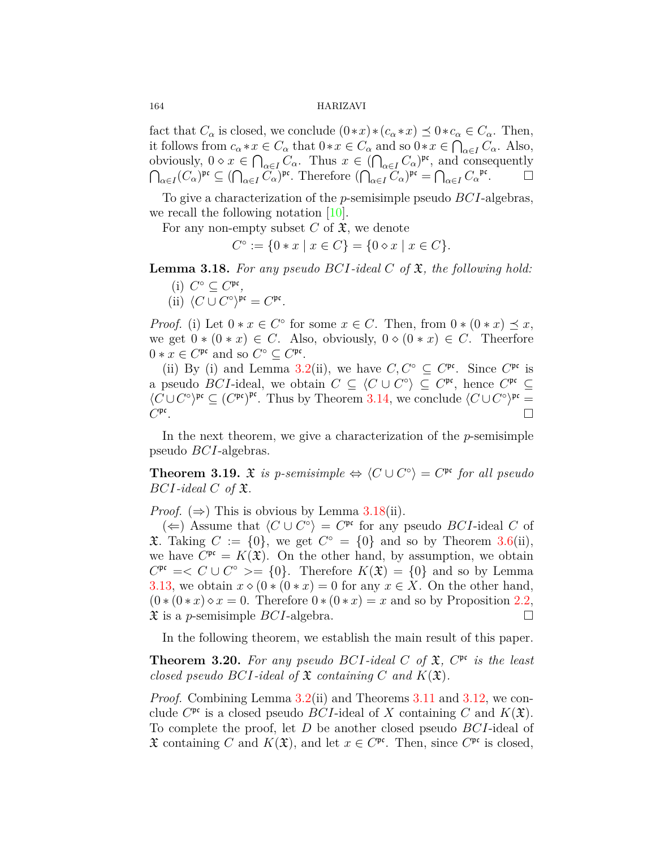fact that  $C_{\alpha}$  is closed, we conclude  $(0 * x) * (c_{\alpha} * x) \preceq 0 * c_{\alpha} \in C_{\alpha}$ . Then, it follows from  $c_{\alpha} * x \in C_{\alpha}$  that  $0 * x \in C_{\alpha}$  and so  $0 * x \in \bigcap_{\alpha \in I} C_{\alpha}$ . Also, obviously,  $0 \diamond x \in \bigcap_{\alpha \in I} C_\alpha$ . Thus  $x \in (\bigcap_{\alpha \in I} C_\alpha)^{\mathfrak{pr}},$  and consequently  $\bigcap_{\alpha \in I} (C_{\alpha})^{\mathfrak{pc}} \subseteq (\bigcap_{\alpha \in I} C_{\alpha})^{\mathfrak{pc}}$ . Therefore  $(\bigcap_{\alpha \in I} C_{\alpha})^{\mathfrak{pc}} = \bigcap_{\alpha \in I} C_{\alpha}^{\mathfrak{pc}}$ .

To give a characterization of the *p*-semisimple pseudo *BCI*-algebras, we recall the following notation [[10](#page-10-3)].

For any non-empty subset  $C$  of  $\mathfrak{X}$ , we denote

$$
C^{\circ} := \{ 0 * x \mid x \in C \} = \{ 0 \diamond x \mid x \in C \}.
$$

<span id="page-9-0"></span>**Lemma 3.18.** *For any pseudo BCI-ideal C of* X*, the following hold:*

- (i)  $C^{\circ} \subseteq C^{\mathfrak{pc}}$ ,
- (ii)  $\langle C \cup C^{\circ} \rangle^{\mathfrak{pc}} = C^{\mathfrak{pc}}$ .

*Proof.* (i) Let  $0 * x \in C^{\circ}$  for some  $x \in C$ . Then, from  $0 * (0 * x) \preceq x$ , we get  $0 * (0 * x) \in C$ . Also, obviously,  $0 \diamond (0 * x) \in C$ . Theerfore  $0 * x \in C^{\text{pc}}$  and so  $C^{\circ} \subseteq C^{\text{pc}}$ .

(ii) By (i) and Lemma [3.2](#page-3-1)(ii), we have  $C, C^{\circ} \subseteq C^{\mathfrak{pc}}$ . Since  $C^{\mathfrak{pc}}$  is a pseudo *BCI*-ideal, we obtain  $C \subseteq \langle C \cup C^{\circ} \rangle \subseteq C^{\mathfrak{pc}}$ , hence  $C^{\mathfrak{pc}} \subseteq C^{\mathfrak{pc}}$  $\langle C \cup C^{\circ} \rangle^{pr}$  ⊆  $(C^{pr})^{pr}$ . Thus by Theorem [3.14](#page-7-2), we conclude  $\langle C \cup C^{\circ} \rangle^{pr}$  = *C* pc . □

In the next theorem, we give a characterization of the *p*-semisimple pseudo *BCI*-algebras.

**Theorem 3.19.**  $\mathfrak{X}$  is p-semisimple  $\Leftrightarrow \langle C \cup C^{\circ} \rangle = C^{\mathfrak{pc}}$  for all pseudo  $BCI$ *-ideal*  $C$  *of*  $\mathfrak{X}$ *.* 

*Proof.*  $(\Rightarrow)$  This is obvious by Lemma [3.18\(](#page-9-0)ii).

 $\langle$  ←  $\rangle$  Assume that  $\langle C \cup C^{\circ} \rangle = C^{\mathfrak{pr}}$  for any pseudo *BCI*-ideal *C* of X. Taking  $C := \{0\}$ , we get  $C^{\circ} = \{0\}$  and so by Theorem [3.6](#page-4-2)(ii), we have  $C^{pr} = K(\mathfrak{X})$ . On the other hand, by assumption, we obtain  $C^{\mathfrak{pr}} \equiv < C \cup C^{\circ} \geq \{0\}$ . Therefore  $K(\mathfrak{X}) = \{0\}$  and so by Lemma [3.13](#page-7-1), we obtain  $x \diamond (0 * (0 * x)) = 0$  for any  $x \in X$ . On the other hand,  $(0*(0*x) \diamond x = 0$ . Therefore  $0*(0*x) = x$  and so by Proposition [2.2,](#page-2-0)  $\mathfrak X$  is a *p*-semisimple *BCI*-algebra.  $\Box$ 

In the following theorem, we establish the main result of this paper.

**Theorem 3.20.** For any pseudo BCI-ideal C of  $\mathfrak{X}$ ,  $C^{\mathfrak{pc}}$  is the least *closed pseudo BCI*-ideal of  $\mathfrak X$  *containing C* and  $K(\mathfrak X)$ *.* 

*Proof.* Combining Lemma [3.2\(](#page-3-1)ii) and Theorems [3.11](#page-6-2) and [3.12](#page-7-0), we conclude  $C^{\mathfrak{pc}}$  is a closed pseudo *BCI*-ideal of *X* containing *C* and  $K(\mathfrak{X})$ . To complete the proof, let *D* be another closed pseudo *BCI*-ideal of  $\mathfrak X$  containing *C* and  $K(\mathfrak X)$ , and let  $x \in C^{\mathfrak{pc}}$ . Then, since  $C^{\mathfrak{pc}}$  is closed,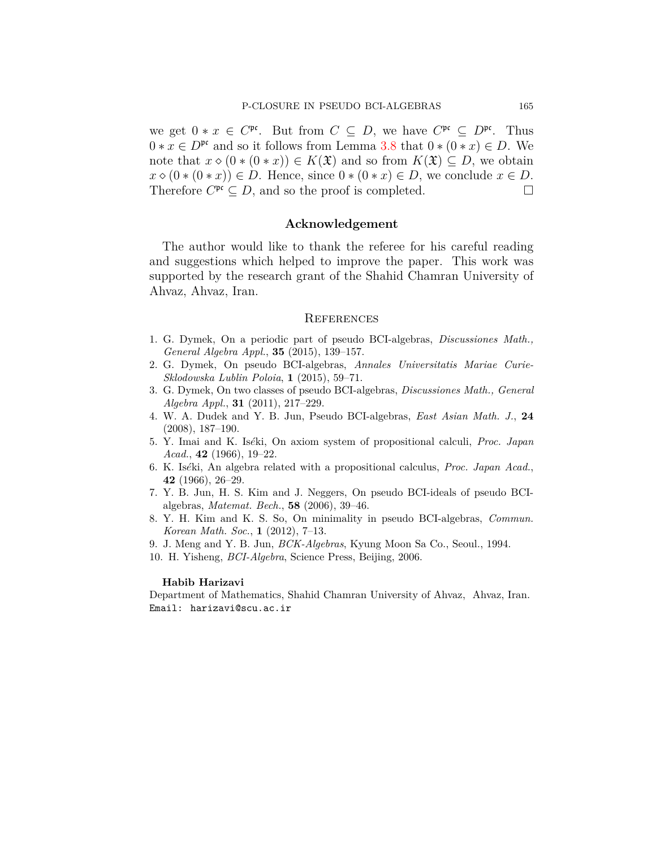we get  $0 * x \in C^{\text{pc}}$ . But from  $C \subseteq D$ , we have  $C^{\text{pc}} \subseteq D^{\text{pc}}$ . Thus  $0 * x \in D^{pr}$  and so it follows from Lemma [3.8](#page-5-0) that  $0 * (0 * x) \in D$ . We note that  $x \diamond (0 * (0 * x)) \in K(\mathfrak{X})$  and so from  $K(\mathfrak{X}) \subseteq D$ , we obtain  $x \diamond (0 * (0 * x)) \in D$ . Hence, since  $0 * (0 * x) \in D$ , we conclude  $x \in D$ . Therefore  $C^{\mathfrak{pr}} \subseteq D$ , and so the proof is completed. □

## **Acknowledgement**

The author would like to thank the referee for his careful reading and suggestions which helped to improve the paper. This work was supported by the research grant of the Shahid Chamran University of Ahvaz, Ahvaz, Iran.

#### **REFERENCES**

- <span id="page-10-7"></span>1. G. Dymek, On a periodic part of pseudo BCI-algebras, *Discussiones Math., General Algebra Appl.*, **35** (2015), 139–157.
- <span id="page-10-5"></span>2. G. Dymek, On pseudo BCI-algebras, *Annales Universitatis Mariae Curie-Sklodowska Lublin Poloia*, **1** (2015), 59–71.
- 3. G. Dymek, On two classes of pseudo BCI-algebras, *Discussiones Math., General Algebra Appl.*, **31** (2011), 217–229.
- <span id="page-10-4"></span>4. W. A. Dudek and Y. B. Jun, Pseudo BCI-algebras, *East Asian Math. J.*, **24** (2008), 187–190.
- <span id="page-10-0"></span>5. Y. Imai and K. Is*e*´ki, On axiom system of propositional calculi, *Proc. Japan Acad.*, **42** (1966), 19–22.
- <span id="page-10-1"></span>6. K. Is*e*´ki, An algebra related with a propositional calculus, *Proc. Japan Acad.*, **42** (1966), 26–29.
- <span id="page-10-8"></span>7. Y. B. Jun, H. S. Kim and J. Neggers, On pseudo BCI-ideals of pseudo BCIalgebras, *Matemat. Bech.*, **58** (2006), 39–46.
- <span id="page-10-6"></span>8. Y. H. Kim and K. S. So, On minimality in pseudo BCI-algebras, *Commun. Korean Math. Soc.*, **1** (2012), 7–13.
- <span id="page-10-2"></span>9. J. Meng and Y. B. Jun, *BCK-Algebras*, Kyung Moon Sa Co., Seoul., 1994.
- <span id="page-10-3"></span>10. H. Yisheng, *BCI-Algebra*, Science Press, Beijing, 2006.

#### **Habib Harizavi**

Department of Mathematics, Shahid Chamran University of Ahvaz, Ahvaz, Iran. Email: harizavi@scu.ac.ir